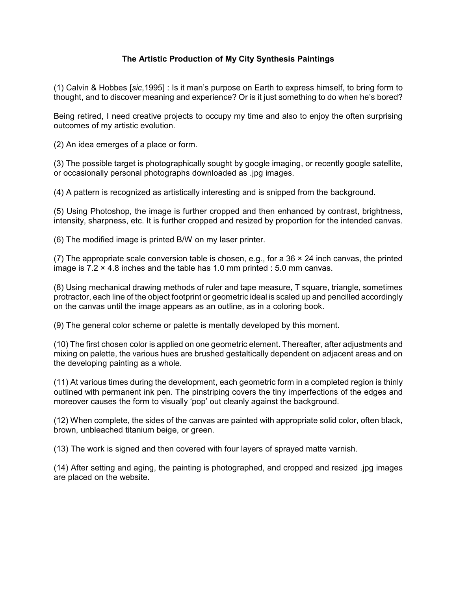## **The Artistic Production of My City Synthesis Paintings**

(1) Calvin & Hobbes [*sic*,1995] : Is it man's purpose on Earth to express himself, to bring form to thought, and to discover meaning and experience? Or is it just something to do when he's bored?

Being retired, I need creative projects to occupy my time and also to enjoy the often surprising outcomes of my artistic evolution.

(2) An idea emerges of a place or form.

(3) The possible target is photographically sought by google imaging, or recently google satellite, or occasionally personal photographs downloaded as .jpg images.

(4) A pattern is recognized as artistically interesting and is snipped from the background.

(5) Using Photoshop, the image is further cropped and then enhanced by contrast, brightness, intensity, sharpness, etc. It is further cropped and resized by proportion for the intended canvas.

(6) The modified image is printed B/W on my laser printer.

(7) The appropriate scale conversion table is chosen, e.g., for a 36  $\times$  24 inch canvas, the printed image is  $7.2 \times 4.8$  inches and the table has 1.0 mm printed : 5.0 mm canvas.

(8) Using mechanical drawing methods of ruler and tape measure, T square, triangle, sometimes protractor, each line of the object footprint or geometric ideal is scaled up and pencilled accordingly on the canvas until the image appears as an outline, as in a coloring book.

(9) The general color scheme or palette is mentally developed by this moment.

(10) The first chosen color is applied on one geometric element. Thereafter, after adjustments and mixing on palette, the various hues are brushed gestaltically dependent on adjacent areas and on the developing painting as a whole.

(11) At various times during the development, each geometric form in a completed region is thinly outlined with permanent ink pen. The pinstriping covers the tiny imperfections of the edges and moreover causes the form to visually 'pop' out cleanly against the background.

(12) When complete, the sides of the canvas are painted with appropriate solid color, often black, brown, unbleached titanium beige, or green.

(13) The work is signed and then covered with four layers of sprayed matte varnish.

(14) After setting and aging, the painting is photographed, and cropped and resized .jpg images are placed on the website.